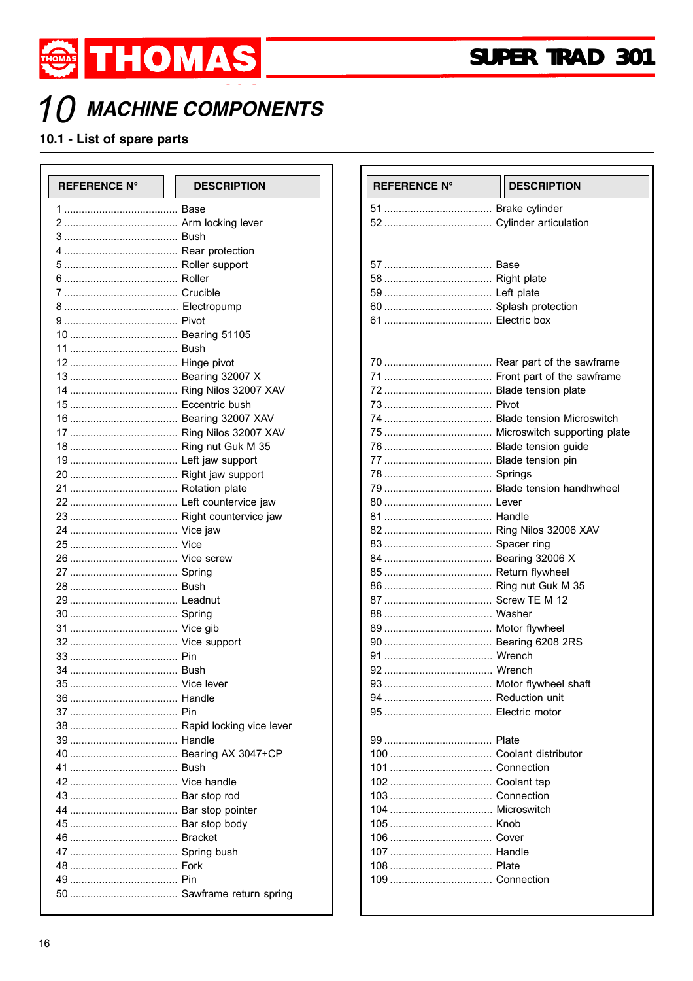

## 10 MACHINE COMPONENTS

10.1 - List of spare parts

| <b>REFERENCE N°</b> | <b>DESCRIPTION</b> | <b>REFERENCE N°</b> | <b>DESCRIPTION</b> |
|---------------------|--------------------|---------------------|--------------------|
|                     |                    |                     |                    |
|                     |                    |                     |                    |
|                     |                    |                     |                    |
|                     |                    |                     |                    |
|                     |                    |                     |                    |
|                     |                    |                     |                    |
|                     |                    |                     |                    |
|                     |                    |                     |                    |
|                     |                    |                     |                    |
|                     |                    |                     |                    |
|                     |                    |                     |                    |
|                     |                    |                     |                    |
|                     |                    |                     |                    |
|                     |                    |                     |                    |
|                     |                    |                     |                    |
|                     |                    |                     |                    |
|                     |                    |                     |                    |
|                     |                    |                     |                    |
|                     |                    |                     |                    |
|                     |                    |                     |                    |
|                     |                    |                     |                    |
|                     |                    |                     |                    |
|                     |                    |                     |                    |
|                     |                    |                     |                    |
|                     |                    |                     |                    |
|                     |                    |                     |                    |
|                     |                    |                     |                    |
|                     |                    |                     |                    |
|                     |                    |                     |                    |
|                     |                    |                     |                    |
|                     |                    |                     |                    |
|                     |                    |                     |                    |
|                     |                    |                     |                    |
|                     |                    |                     |                    |
|                     |                    |                     |                    |
|                     |                    |                     |                    |
|                     |                    |                     |                    |
|                     |                    |                     |                    |
|                     |                    |                     |                    |
|                     |                    |                     |                    |
|                     |                    |                     |                    |
|                     |                    |                     |                    |
|                     |                    |                     |                    |
|                     |                    |                     |                    |
|                     |                    |                     |                    |
|                     |                    |                     |                    |
|                     |                    |                     |                    |
|                     |                    |                     |                    |
|                     |                    |                     |                    |
|                     |                    |                     |                    |

٦

г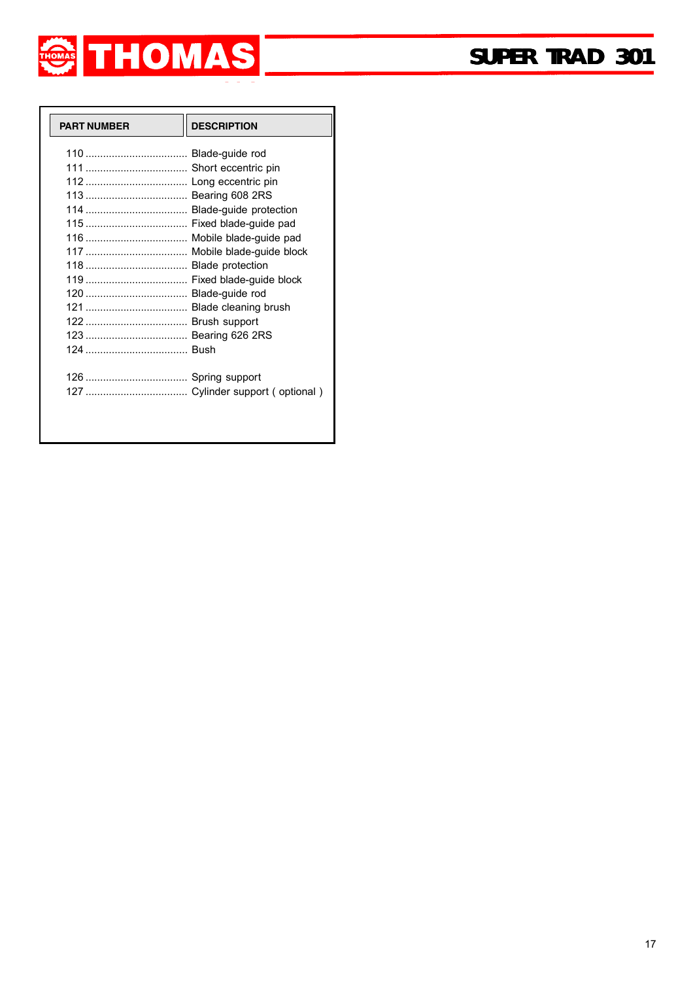

 $\overline{\mathcal{L}}$ 

| <b>PART NUMBER</b> | <b>DESCRIPTION</b>                 |
|--------------------|------------------------------------|
|                    |                                    |
|                    | 127  Cylinder support ( optional ) |
|                    |                                    |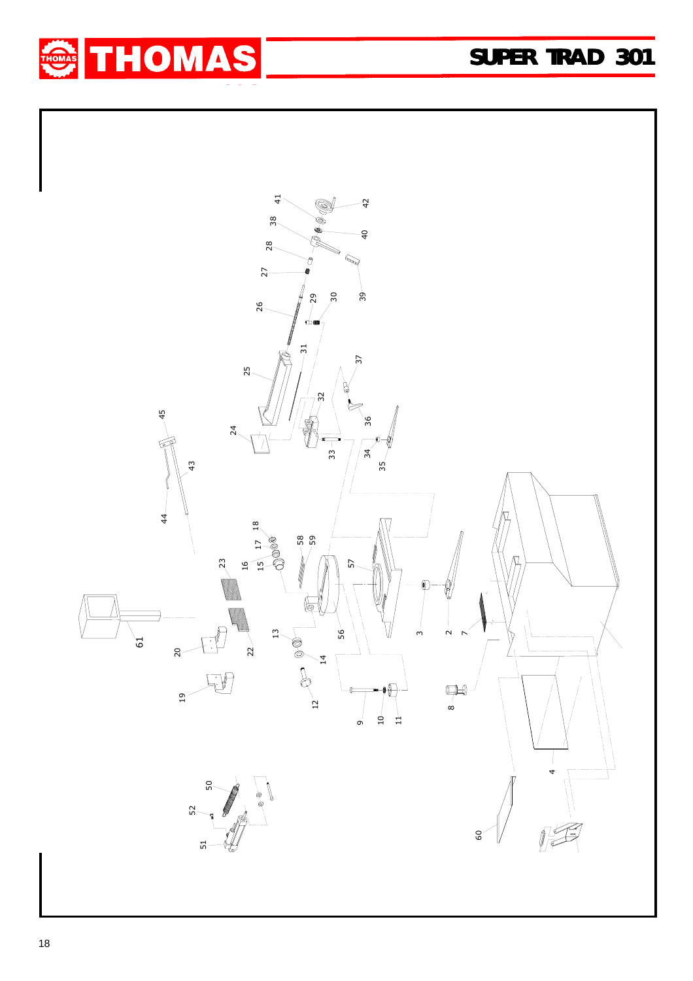

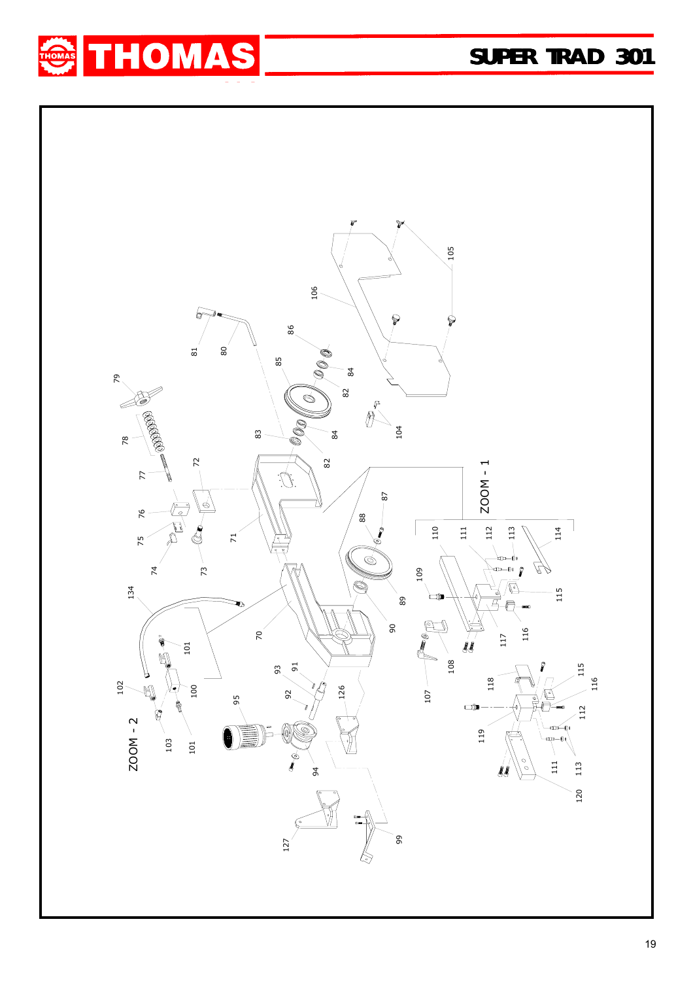